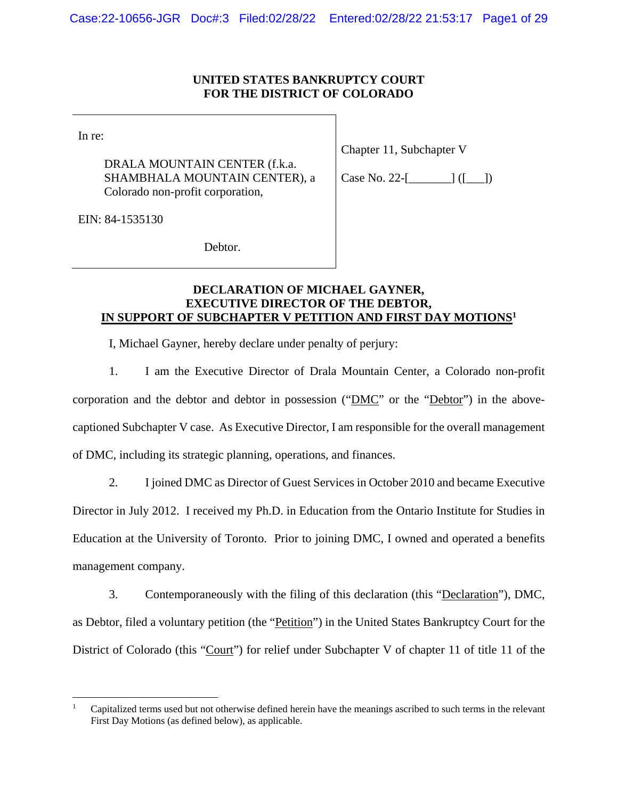#### **UNITED STATES BANKRUPTCY COURT FOR THE DISTRICT OF COLORADO**

In re:

 $\overline{a}$ 

DRALA MOUNTAIN CENTER (f.k.a. SHAMBHALA MOUNTAIN CENTER), a Colorado non-profit corporation,

Chapter 11, Subchapter V

Case No. 22-[\_\_\_\_\_\_\_] ([\_\_\_])

EIN: 84-1535130

Debtor.

## **DECLARATION OF MICHAEL GAYNER, EXECUTIVE DIRECTOR OF THE DEBTOR, IN SUPPORT OF SUBCHAPTER V PETITION AND FIRST DAY MOTIONS1**

I, Michael Gayner, hereby declare under penalty of perjury:

1. I am the Executive Director of Drala Mountain Center, a Colorado non-profit corporation and the debtor and debtor in possession ("DMC" or the "Debtor") in the abovecaptioned Subchapter V case. As Executive Director, I am responsible for the overall management of DMC, including its strategic planning, operations, and finances.

2. I joined DMC as Director of Guest Services in October 2010 and became Executive Director in July 2012. I received my Ph.D. in Education from the Ontario Institute for Studies in Education at the University of Toronto. Prior to joining DMC, I owned and operated a benefits management company.

3. Contemporaneously with the filing of this declaration (this "Declaration"), DMC, as Debtor, filed a voluntary petition (the "Petition") in the United States Bankruptcy Court for the District of Colorado (this "Court") for relief under Subchapter V of chapter 11 of title 11 of the

<sup>1</sup> Capitalized terms used but not otherwise defined herein have the meanings ascribed to such terms in the relevant First Day Motions (as defined below), as applicable.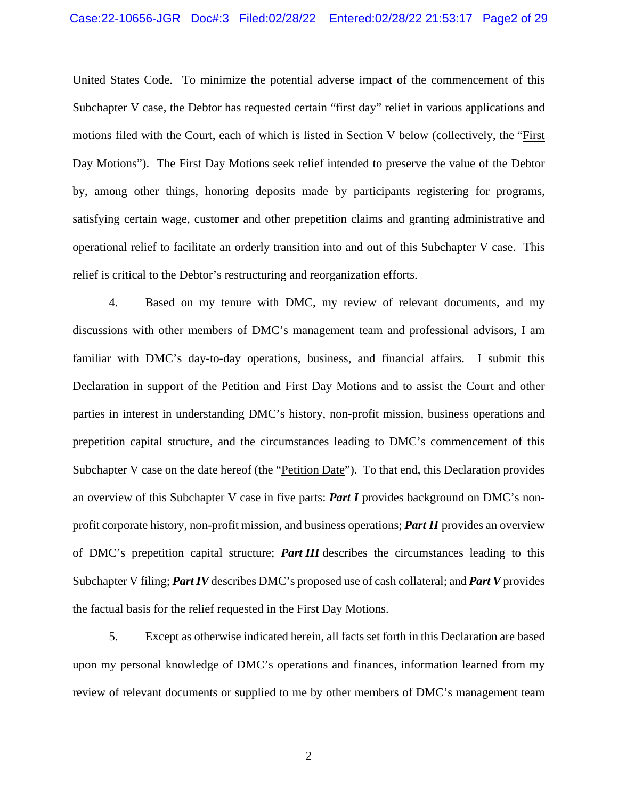United States Code. To minimize the potential adverse impact of the commencement of this Subchapter V case, the Debtor has requested certain "first day" relief in various applications and motions filed with the Court, each of which is listed in Section V below (collectively, the "First Day Motions"). The First Day Motions seek relief intended to preserve the value of the Debtor by, among other things, honoring deposits made by participants registering for programs, satisfying certain wage, customer and other prepetition claims and granting administrative and operational relief to facilitate an orderly transition into and out of this Subchapter V case. This relief is critical to the Debtor's restructuring and reorganization efforts.

4. Based on my tenure with DMC, my review of relevant documents, and my discussions with other members of DMC's management team and professional advisors, I am familiar with DMC's day-to-day operations, business, and financial affairs. I submit this Declaration in support of the Petition and First Day Motions and to assist the Court and other parties in interest in understanding DMC's history, non-profit mission, business operations and prepetition capital structure, and the circumstances leading to DMC's commencement of this Subchapter V case on the date hereof (the "Petition Date"). To that end, this Declaration provides an overview of this Subchapter V case in five parts: *Part I* provides background on DMC's nonprofit corporate history, non-profit mission, and business operations; *Part II* provides an overview of DMC's prepetition capital structure; *Part III* describes the circumstances leading to this Subchapter V filing; *Part IV* describes DMC's proposed use of cash collateral; and *Part V* provides the factual basis for the relief requested in the First Day Motions.

5. Except as otherwise indicated herein, all facts set forth in this Declaration are based upon my personal knowledge of DMC's operations and finances, information learned from my review of relevant documents or supplied to me by other members of DMC's management team

2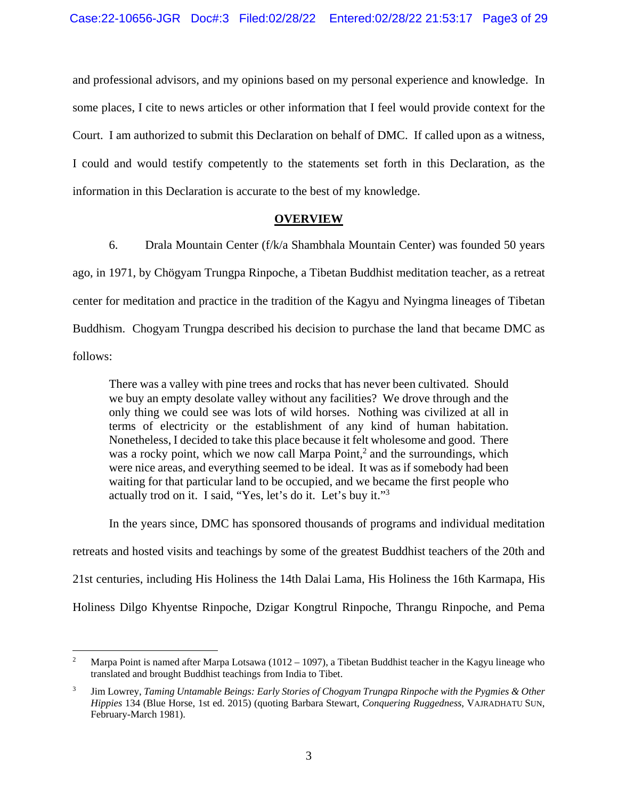and professional advisors, and my opinions based on my personal experience and knowledge. In some places, I cite to news articles or other information that I feel would provide context for the Court. I am authorized to submit this Declaration on behalf of DMC. If called upon as a witness, I could and would testify competently to the statements set forth in this Declaration, as the information in this Declaration is accurate to the best of my knowledge.

## **OVERVIEW**

6. Drala Mountain Center (f/k/a Shambhala Mountain Center) was founded 50 years ago, in 1971, by Chögyam Trungpa Rinpoche, a Tibetan Buddhist meditation teacher, as a retreat center for meditation and practice in the tradition of the Kagyu and Nyingma lineages of Tibetan Buddhism. Chogyam Trungpa described his decision to purchase the land that became DMC as follows:

There was a valley with pine trees and rocks that has never been cultivated. Should we buy an empty desolate valley without any facilities? We drove through and the only thing we could see was lots of wild horses. Nothing was civilized at all in terms of electricity or the establishment of any kind of human habitation. Nonetheless, I decided to take this place because it felt wholesome and good. There was a rocky point, which we now call Marpa Point, $<sup>2</sup>$  and the surroundings, which</sup> were nice areas, and everything seemed to be ideal. It was as if somebody had been waiting for that particular land to be occupied, and we became the first people who actually trod on it. I said, "Yes, let's do it. Let's buy it."<sup>3</sup>

In the years since, DMC has sponsored thousands of programs and individual meditation retreats and hosted visits and teachings by some of the greatest Buddhist teachers of the 20th and 21st centuries, including His Holiness the 14th Dalai Lama, His Holiness the 16th Karmapa, His Holiness Dilgo Khyentse Rinpoche, Dzigar Kongtrul Rinpoche, Thrangu Rinpoche, and Pema

1

<sup>2</sup> Marpa Point is named after Marpa Lotsawa (1012 – 1097), a Tibetan Buddhist teacher in the Kagyu lineage who translated and brought Buddhist teachings from India to Tibet.

<sup>3</sup> Jim Lowrey, *Taming Untamable Beings: Early Stories of Chogyam Trungpa Rinpoche with the Pygmies & Other Hippies* 134 (Blue Horse, 1st ed. 2015) (quoting Barbara Stewart, *Conquering Ruggedness*, VAJRADHATU SUN, February-March 1981).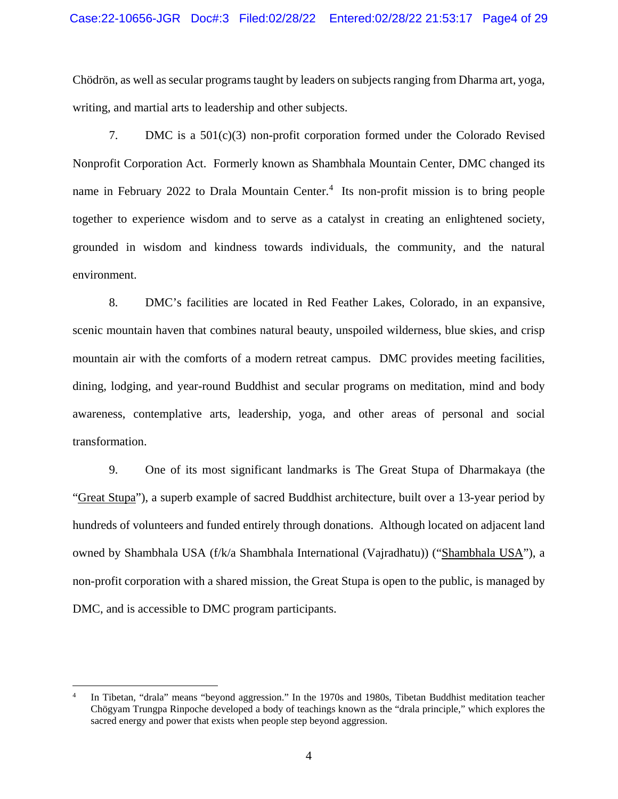Chödrön, as well as secular programs taught by leaders on subjects ranging from Dharma art, yoga, writing, and martial arts to leadership and other subjects.

7. DMC is a 501(c)(3) non-profit corporation formed under the Colorado Revised Nonprofit Corporation Act. Formerly known as Shambhala Mountain Center, DMC changed its name in February 2022 to Drala Mountain Center.<sup>4</sup> Its non-profit mission is to bring people together to experience wisdom and to serve as a catalyst in creating an enlightened society, grounded in wisdom and kindness towards individuals, the community, and the natural environment.

8. DMC's facilities are located in Red Feather Lakes, Colorado, in an expansive, scenic mountain haven that combines natural beauty, unspoiled wilderness, blue skies, and crisp mountain air with the comforts of a modern retreat campus. DMC provides meeting facilities, dining, lodging, and year-round Buddhist and secular programs on meditation, mind and body awareness, contemplative arts, leadership, yoga, and other areas of personal and social transformation.

9. One of its most significant landmarks is The Great Stupa of Dharmakaya (the "Great Stupa"), a superb example of sacred Buddhist architecture, built over a 13-year period by hundreds of volunteers and funded entirely through donations. Although located on adjacent land owned by Shambhala USA (f/k/a Shambhala International (Vajradhatu)) ("Shambhala USA"), a non-profit corporation with a shared mission, the Great Stupa is open to the public, is managed by DMC, and is accessible to DMC program participants.

 $\overline{a}$ 

<sup>4</sup> In Tibetan, "drala" means "beyond aggression." In the 1970s and 1980s, Tibetan Buddhist meditation teacher Chögyam Trungpa Rinpoche developed a body of teachings known as the "drala principle," which explores the sacred energy and power that exists when people step beyond aggression.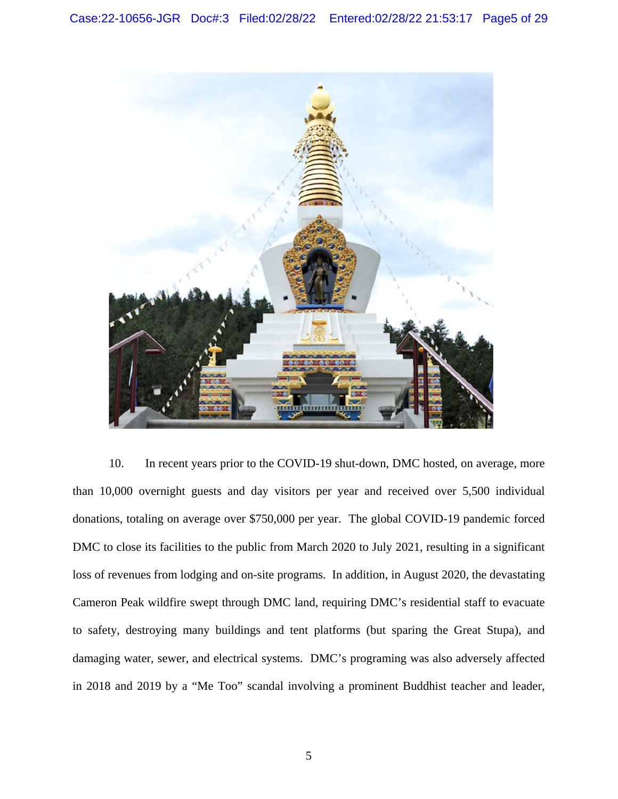

10. In recent years prior to the COVID-19 shut-down, DMC hosted, on average, more than 10,000 overnight guests and day visitors per year and received over 5,500 individual donations, totaling on average over \$750,000 per year. The global COVID-19 pandemic forced DMC to close its facilities to the public from March 2020 to July 2021, resulting in a significant loss of revenues from lodging and on-site programs. In addition, in August 2020, the devastating Cameron Peak wildfire swept through DMC land, requiring DMC's residential staff to evacuate to safety, destroying many buildings and tent platforms (but sparing the Great Stupa), and damaging water, sewer, and electrical systems. DMC's programing was also adversely affected in 2018 and 2019 by a "Me Too" scandal involving a prominent Buddhist teacher and leader,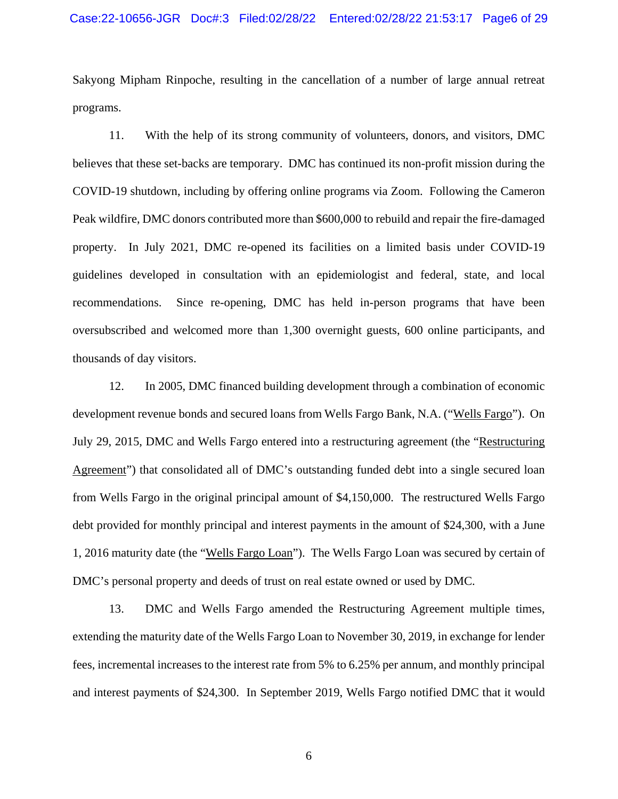Sakyong Mipham Rinpoche, resulting in the cancellation of a number of large annual retreat programs.

11. With the help of its strong community of volunteers, donors, and visitors, DMC believes that these set-backs are temporary. DMC has continued its non-profit mission during the COVID-19 shutdown, including by offering online programs via Zoom. Following the Cameron Peak wildfire, DMC donors contributed more than \$600,000 to rebuild and repair the fire-damaged property. In July 2021, DMC re-opened its facilities on a limited basis under COVID-19 guidelines developed in consultation with an epidemiologist and federal, state, and local recommendations. Since re-opening, DMC has held in-person programs that have been oversubscribed and welcomed more than 1,300 overnight guests, 600 online participants, and thousands of day visitors.

12. In 2005, DMC financed building development through a combination of economic development revenue bonds and secured loans from Wells Fargo Bank, N.A. ("Wells Fargo"). On July 29, 2015, DMC and Wells Fargo entered into a restructuring agreement (the "Restructuring Agreement") that consolidated all of DMC's outstanding funded debt into a single secured loan from Wells Fargo in the original principal amount of \$4,150,000. The restructured Wells Fargo debt provided for monthly principal and interest payments in the amount of \$24,300, with a June 1, 2016 maturity date (the "Wells Fargo Loan"). The Wells Fargo Loan was secured by certain of DMC's personal property and deeds of trust on real estate owned or used by DMC.

13. DMC and Wells Fargo amended the Restructuring Agreement multiple times, extending the maturity date of the Wells Fargo Loan to November 30, 2019, in exchange for lender fees, incremental increases to the interest rate from 5% to 6.25% per annum, and monthly principal and interest payments of \$24,300. In September 2019, Wells Fargo notified DMC that it would

6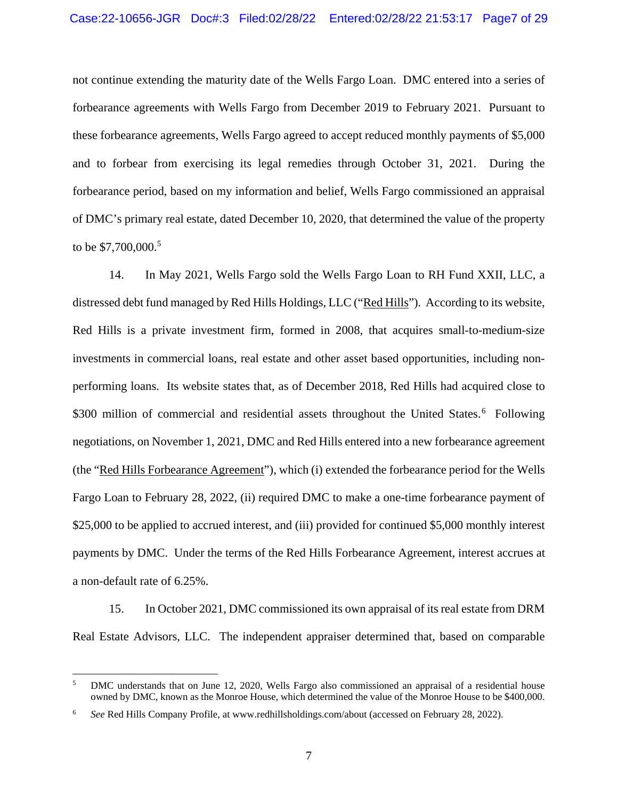not continue extending the maturity date of the Wells Fargo Loan. DMC entered into a series of forbearance agreements with Wells Fargo from December 2019 to February 2021. Pursuant to these forbearance agreements, Wells Fargo agreed to accept reduced monthly payments of \$5,000 and to forbear from exercising its legal remedies through October 31, 2021. During the forbearance period, based on my information and belief, Wells Fargo commissioned an appraisal of DMC's primary real estate, dated December 10, 2020, that determined the value of the property to be \$7,700,000.<sup>5</sup>

14. In May 2021, Wells Fargo sold the Wells Fargo Loan to RH Fund XXII, LLC, a distressed debt fund managed by Red Hills Holdings, LLC ("Red Hills"). According to its website, Red Hills is a private investment firm, formed in 2008, that acquires small-to-medium-size investments in commercial loans, real estate and other asset based opportunities, including nonperforming loans. Its website states that, as of December 2018, Red Hills had acquired close to \$300 million of commercial and residential assets throughout the United States.<sup>6</sup> Following negotiations, on November 1, 2021, DMC and Red Hills entered into a new forbearance agreement (the "Red Hills Forbearance Agreement"), which (i) extended the forbearance period for the Wells Fargo Loan to February 28, 2022, (ii) required DMC to make a one-time forbearance payment of \$25,000 to be applied to accrued interest, and (iii) provided for continued \$5,000 monthly interest payments by DMC. Under the terms of the Red Hills Forbearance Agreement, interest accrues at a non-default rate of 6.25%.

15. In October 2021, DMC commissioned its own appraisal of its real estate from DRM Real Estate Advisors, LLC. The independent appraiser determined that, based on comparable

<u>.</u>

<sup>5</sup> DMC understands that on June 12, 2020, Wells Fargo also commissioned an appraisal of a residential house owned by DMC, known as the Monroe House, which determined the value of the Monroe House to be \$400,000.

<sup>6</sup> *See* Red Hills Company Profile, at www.redhillsholdings.com/about (accessed on February 28, 2022).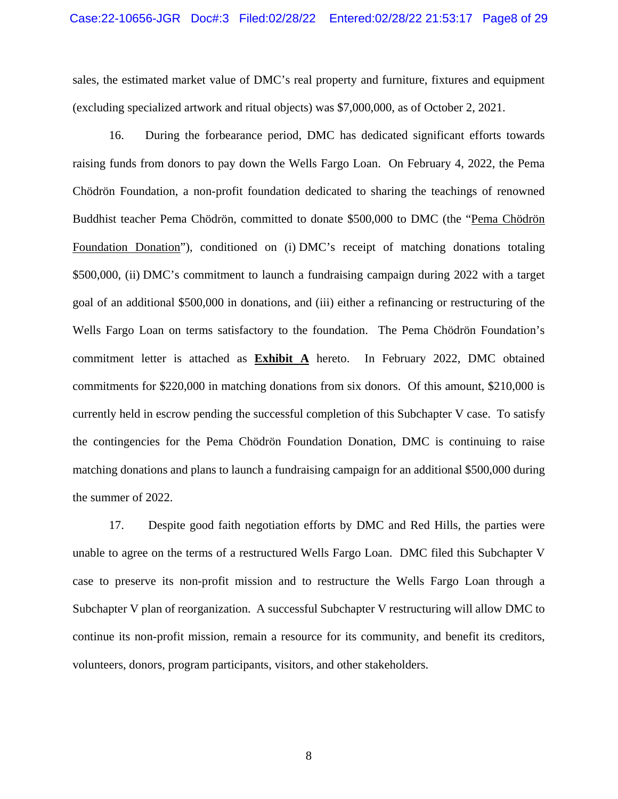sales, the estimated market value of DMC's real property and furniture, fixtures and equipment (excluding specialized artwork and ritual objects) was \$7,000,000, as of October 2, 2021.

16. During the forbearance period, DMC has dedicated significant efforts towards raising funds from donors to pay down the Wells Fargo Loan. On February 4, 2022, the Pema Chödrön Foundation, a non-profit foundation dedicated to sharing the teachings of renowned Buddhist teacher Pema Chödrön, committed to donate \$500,000 to DMC (the "Pema Chödrön Foundation Donation"), conditioned on (i) DMC's receipt of matching donations totaling \$500,000, (ii) DMC's commitment to launch a fundraising campaign during 2022 with a target goal of an additional \$500,000 in donations, and (iii) either a refinancing or restructuring of the Wells Fargo Loan on terms satisfactory to the foundation. The Pema Chödrön Foundation's commitment letter is attached as **Exhibit A** hereto. In February 2022, DMC obtained commitments for \$220,000 in matching donations from six donors. Of this amount, \$210,000 is currently held in escrow pending the successful completion of this Subchapter V case. To satisfy the contingencies for the Pema Chödrön Foundation Donation, DMC is continuing to raise matching donations and plans to launch a fundraising campaign for an additional \$500,000 during the summer of 2022.

17. Despite good faith negotiation efforts by DMC and Red Hills, the parties were unable to agree on the terms of a restructured Wells Fargo Loan. DMC filed this Subchapter V case to preserve its non-profit mission and to restructure the Wells Fargo Loan through a Subchapter V plan of reorganization. A successful Subchapter V restructuring will allow DMC to continue its non-profit mission, remain a resource for its community, and benefit its creditors, volunteers, donors, program participants, visitors, and other stakeholders.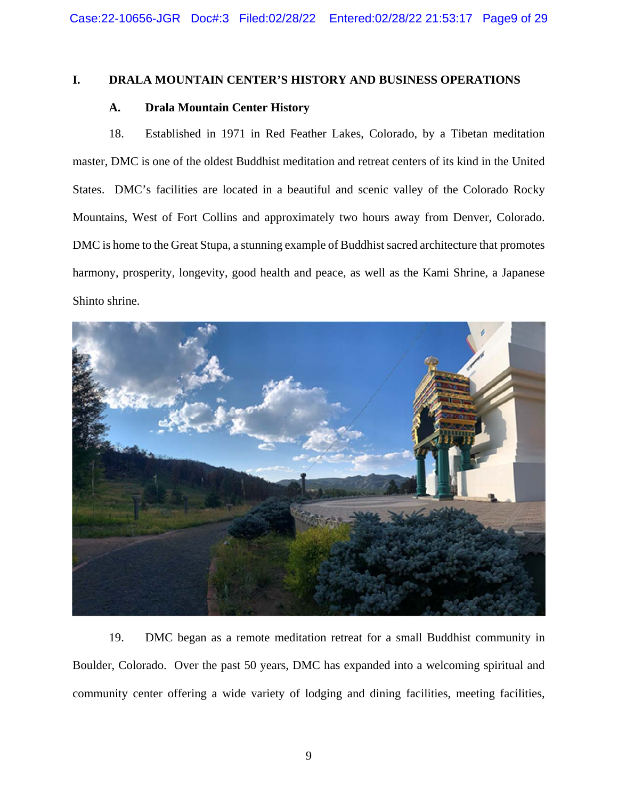#### **I. DRALA MOUNTAIN CENTER'S HISTORY AND BUSINESS OPERATIONS**

## **A. Drala Mountain Center History**

18. Established in 1971 in Red Feather Lakes, Colorado, by a Tibetan meditation master, DMC is one of the oldest Buddhist meditation and retreat centers of its kind in the United States. DMC's facilities are located in a beautiful and scenic valley of the Colorado Rocky Mountains, West of Fort Collins and approximately two hours away from Denver, Colorado. DMC is home to the Great Stupa, a stunning example of Buddhist sacred architecture that promotes harmony, prosperity, longevity, good health and peace, as well as the Kami Shrine, a Japanese Shinto shrine.



19. DMC began as a remote meditation retreat for a small Buddhist community in Boulder, Colorado. Over the past 50 years, DMC has expanded into a welcoming spiritual and community center offering a wide variety of lodging and dining facilities, meeting facilities,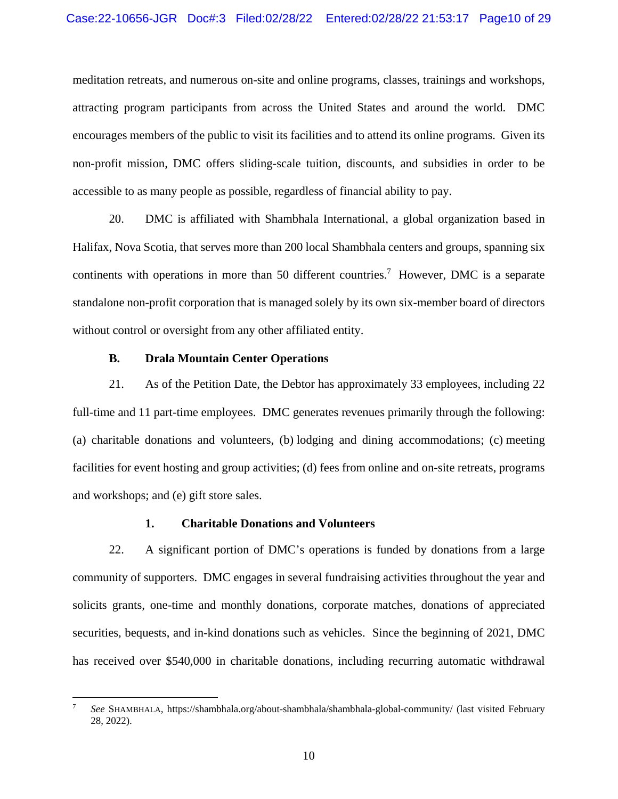meditation retreats, and numerous on-site and online programs, classes, trainings and workshops, attracting program participants from across the United States and around the world. DMC encourages members of the public to visit its facilities and to attend its online programs. Given its non-profit mission, DMC offers sliding-scale tuition, discounts, and subsidies in order to be accessible to as many people as possible, regardless of financial ability to pay.

20. DMC is affiliated with Shambhala International, a global organization based in Halifax, Nova Scotia, that serves more than 200 local Shambhala centers and groups, spanning six continents with operations in more than 50 different countries.<sup>7</sup> However, DMC is a separate standalone non-profit corporation that is managed solely by its own six-member board of directors without control or oversight from any other affiliated entity.

#### **B. Drala Mountain Center Operations**

 $\overline{a}$ 

21. As of the Petition Date, the Debtor has approximately 33 employees, including 22 full-time and 11 part-time employees. DMC generates revenues primarily through the following: (a) charitable donations and volunteers, (b) lodging and dining accommodations; (c) meeting facilities for event hosting and group activities; (d) fees from online and on-site retreats, programs and workshops; and (e) gift store sales.

#### **1. Charitable Donations and Volunteers**

22. A significant portion of DMC's operations is funded by donations from a large community of supporters. DMC engages in several fundraising activities throughout the year and solicits grants, one-time and monthly donations, corporate matches, donations of appreciated securities, bequests, and in-kind donations such as vehicles. Since the beginning of 2021, DMC has received over \$540,000 in charitable donations, including recurring automatic withdrawal

<sup>7</sup> *See* SHAMBHALA*,* https://shambhala.org/about-shambhala/shambhala-global-community/ (last visited February 28, 2022).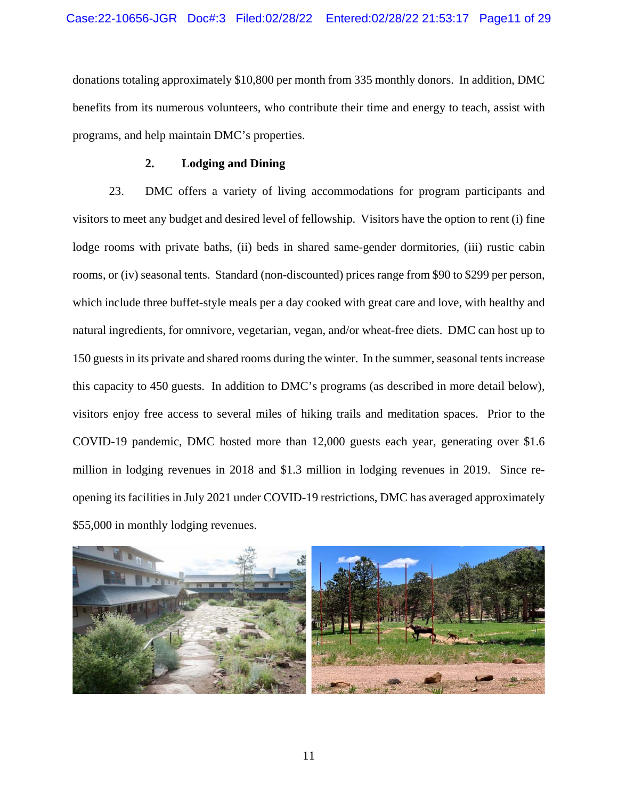donations totaling approximately \$10,800 per month from 335 monthly donors. In addition, DMC benefits from its numerous volunteers, who contribute their time and energy to teach, assist with programs, and help maintain DMC's properties.

#### **2. Lodging and Dining**

23. DMC offers a variety of living accommodations for program participants and visitors to meet any budget and desired level of fellowship. Visitors have the option to rent (i) fine lodge rooms with private baths, (ii) beds in shared same-gender dormitories, (iii) rustic cabin rooms, or (iv) seasonal tents. Standard (non-discounted) prices range from \$90 to \$299 per person, which include three buffet-style meals per a day cooked with great care and love, with healthy and natural ingredients, for omnivore, vegetarian, vegan, and/or wheat-free diets. DMC can host up to 150 guests in its private and shared rooms during the winter. In the summer, seasonal tents increase this capacity to 450 guests. In addition to DMC's programs (as described in more detail below), visitors enjoy free access to several miles of hiking trails and meditation spaces. Prior to the COVID-19 pandemic, DMC hosted more than 12,000 guests each year, generating over \$1.6 million in lodging revenues in 2018 and \$1.3 million in lodging revenues in 2019. Since reopening its facilities in July 2021 under COVID-19 restrictions, DMC has averaged approximately \$55,000 in monthly lodging revenues.

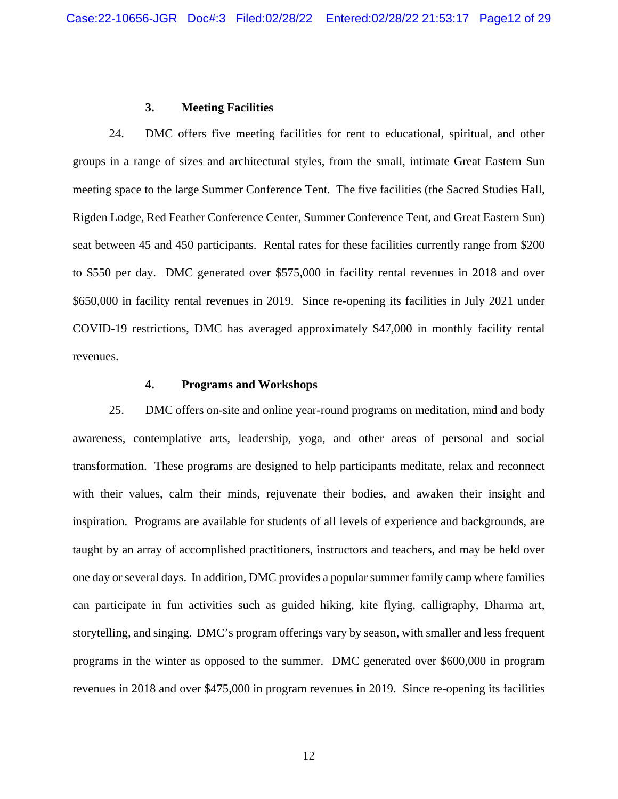#### **3. Meeting Facilities**

24. DMC offers five meeting facilities for rent to educational, spiritual, and other groups in a range of sizes and architectural styles, from the small, intimate Great Eastern Sun meeting space to the large Summer Conference Tent. The five facilities (the Sacred Studies Hall, Rigden Lodge, Red Feather Conference Center, Summer Conference Tent, and Great Eastern Sun) seat between 45 and 450 participants. Rental rates for these facilities currently range from \$200 to \$550 per day. DMC generated over \$575,000 in facility rental revenues in 2018 and over \$650,000 in facility rental revenues in 2019. Since re-opening its facilities in July 2021 under COVID-19 restrictions, DMC has averaged approximately \$47,000 in monthly facility rental revenues.

#### **4. Programs and Workshops**

25. DMC offers on-site and online year-round programs on meditation, mind and body awareness, contemplative arts, leadership, yoga, and other areas of personal and social transformation. These programs are designed to help participants meditate, relax and reconnect with their values, calm their minds, rejuvenate their bodies, and awaken their insight and inspiration. Programs are available for students of all levels of experience and backgrounds, are taught by an array of accomplished practitioners, instructors and teachers, and may be held over one day or several days. In addition, DMC provides a popular summer family camp where families can participate in fun activities such as guided hiking, kite flying, calligraphy, Dharma art, storytelling, and singing. DMC's program offerings vary by season, with smaller and less frequent programs in the winter as opposed to the summer. DMC generated over \$600,000 in program revenues in 2018 and over \$475,000 in program revenues in 2019. Since re-opening its facilities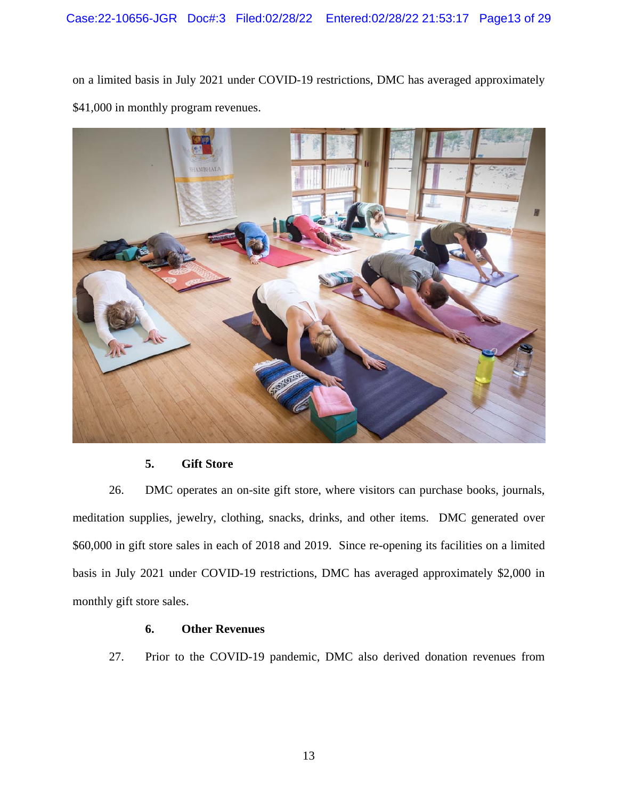on a limited basis in July 2021 under COVID-19 restrictions, DMC has averaged approximately \$41,000 in monthly program revenues.



## **5. Gift Store**

26. DMC operates an on-site gift store, where visitors can purchase books, journals, meditation supplies, jewelry, clothing, snacks, drinks, and other items. DMC generated over \$60,000 in gift store sales in each of 2018 and 2019. Since re-opening its facilities on a limited basis in July 2021 under COVID-19 restrictions, DMC has averaged approximately \$2,000 in monthly gift store sales.

# **6. Other Revenues**

27. Prior to the COVID-19 pandemic, DMC also derived donation revenues from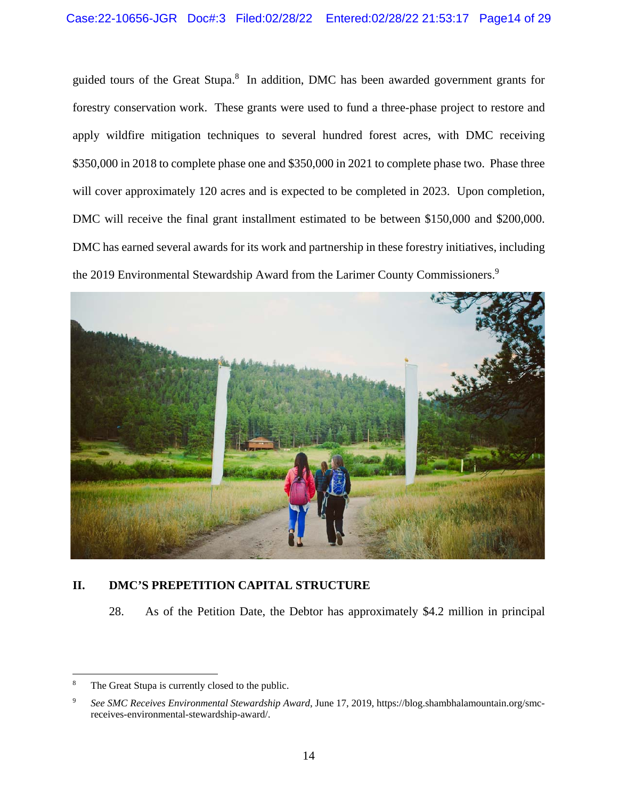guided tours of the Great Stupa.<sup>8</sup> In addition, DMC has been awarded government grants for forestry conservation work. These grants were used to fund a three-phase project to restore and apply wildfire mitigation techniques to several hundred forest acres, with DMC receiving \$350,000 in 2018 to complete phase one and \$350,000 in 2021 to complete phase two. Phase three will cover approximately 120 acres and is expected to be completed in 2023. Upon completion, DMC will receive the final grant installment estimated to be between \$150,000 and \$200,000. DMC has earned several awards for its work and partnership in these forestry initiatives, including the 2019 Environmental Stewardship Award from the Larimer County Commissioners.<sup>9</sup>



# **II. DMC'S PREPETITION CAPITAL STRUCTURE**

28. As of the Petition Date, the Debtor has approximately \$4.2 million in principal

<u>.</u>

<sup>8</sup> The Great Stupa is currently closed to the public.

<sup>9</sup> *See SMC Receives Environmental Stewardship Award*, June 17, 2019, https://blog.shambhalamountain.org/smcreceives-environmental-stewardship-award/.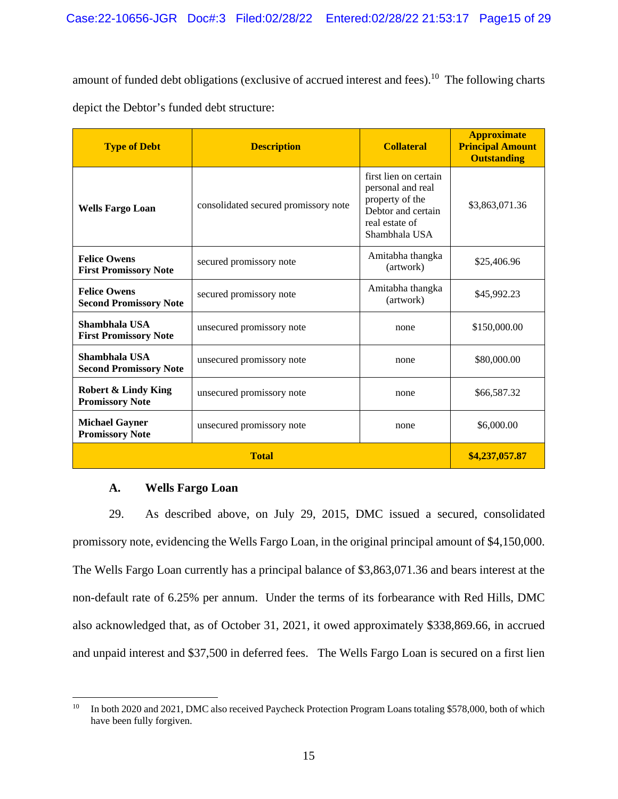amount of funded debt obligations (exclusive of accrued interest and fees).<sup>10</sup> The following charts depict the Debtor's funded debt structure:

| <b>Type of Debt</b>                                      | <b>Description</b>                   | <b>Collateral</b>                                                                                                      | <b>Approximate</b><br><b>Principal Amount</b><br><b>Outstanding</b> |
|----------------------------------------------------------|--------------------------------------|------------------------------------------------------------------------------------------------------------------------|---------------------------------------------------------------------|
| <b>Wells Fargo Loan</b>                                  | consolidated secured promissory note | first lien on certain<br>personal and real<br>property of the<br>Debtor and certain<br>real estate of<br>Shambhala USA | \$3,863,071.36                                                      |
| <b>Felice Owens</b><br><b>First Promissory Note</b>      | secured promissory note              | Amitabha thangka<br>(artwork)                                                                                          | \$25,406.96                                                         |
| <b>Felice Owens</b><br><b>Second Promissory Note</b>     | secured promissory note              | Amitabha thangka<br>(artwork)                                                                                          | \$45,992.23                                                         |
| Shambhala USA<br><b>First Promissory Note</b>            | unsecured promissory note            | none                                                                                                                   | \$150,000.00                                                        |
| Shambhala USA<br><b>Second Promissory Note</b>           | unsecured promissory note            | none                                                                                                                   | \$80,000.00                                                         |
| <b>Robert &amp; Lindy King</b><br><b>Promissory Note</b> | unsecured promissory note            | none                                                                                                                   | \$66,587.32                                                         |
| <b>Michael Gayner</b><br><b>Promissory Note</b>          | unsecured promissory note            | none                                                                                                                   | \$6,000.00                                                          |
| <b>Total</b>                                             |                                      |                                                                                                                        | \$4,237,057.87                                                      |

## **A. Wells Fargo Loan**

29. As described above, on July 29, 2015, DMC issued a secured, consolidated promissory note, evidencing the Wells Fargo Loan, in the original principal amount of \$4,150,000. The Wells Fargo Loan currently has a principal balance of \$3,863,071.36 and bears interest at the non-default rate of 6.25% per annum. Under the terms of its forbearance with Red Hills, DMC also acknowledged that, as of October 31, 2021, it owed approximately \$338,869.66, in accrued and unpaid interest and \$37,500 in deferred fees. The Wells Fargo Loan is secured on a first lien

 $10\,$ In both 2020 and 2021, DMC also received Paycheck Protection Program Loans totaling \$578,000, both of which have been fully forgiven.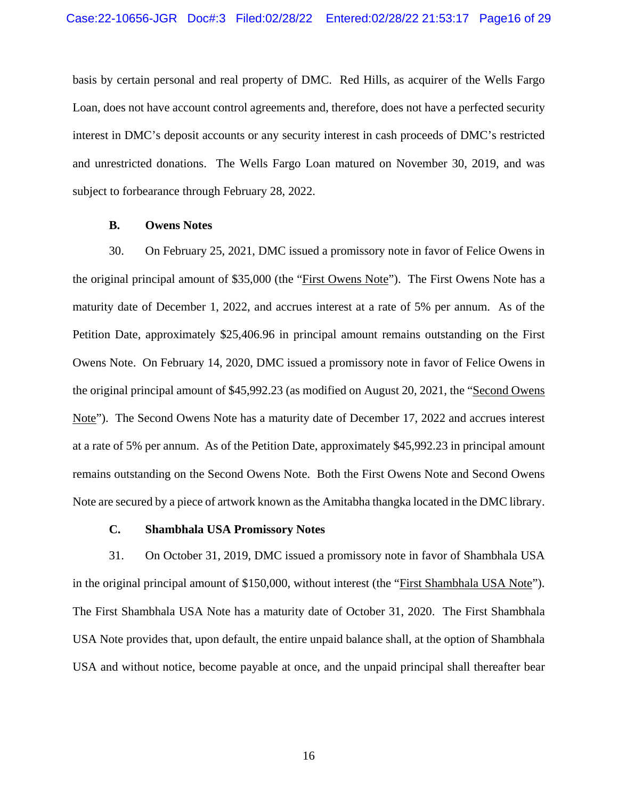basis by certain personal and real property of DMC. Red Hills, as acquirer of the Wells Fargo Loan, does not have account control agreements and, therefore, does not have a perfected security interest in DMC's deposit accounts or any security interest in cash proceeds of DMC's restricted and unrestricted donations. The Wells Fargo Loan matured on November 30, 2019, and was subject to forbearance through February 28, 2022.

#### **B. Owens Notes**

30. On February 25, 2021, DMC issued a promissory note in favor of Felice Owens in the original principal amount of \$35,000 (the "First Owens Note"). The First Owens Note has a maturity date of December 1, 2022, and accrues interest at a rate of 5% per annum. As of the Petition Date, approximately \$25,406.96 in principal amount remains outstanding on the First Owens Note. On February 14, 2020, DMC issued a promissory note in favor of Felice Owens in the original principal amount of \$45,992.23 (as modified on August 20, 2021, the "Second Owens Note"). The Second Owens Note has a maturity date of December 17, 2022 and accrues interest at a rate of 5% per annum. As of the Petition Date, approximately \$45,992.23 in principal amount remains outstanding on the Second Owens Note. Both the First Owens Note and Second Owens Note are secured by a piece of artwork known as the Amitabha thangka located in the DMC library.

#### **C. Shambhala USA Promissory Notes**

31. On October 31, 2019, DMC issued a promissory note in favor of Shambhala USA in the original principal amount of \$150,000, without interest (the "First Shambhala USA Note"). The First Shambhala USA Note has a maturity date of October 31, 2020. The First Shambhala USA Note provides that, upon default, the entire unpaid balance shall, at the option of Shambhala USA and without notice, become payable at once, and the unpaid principal shall thereafter bear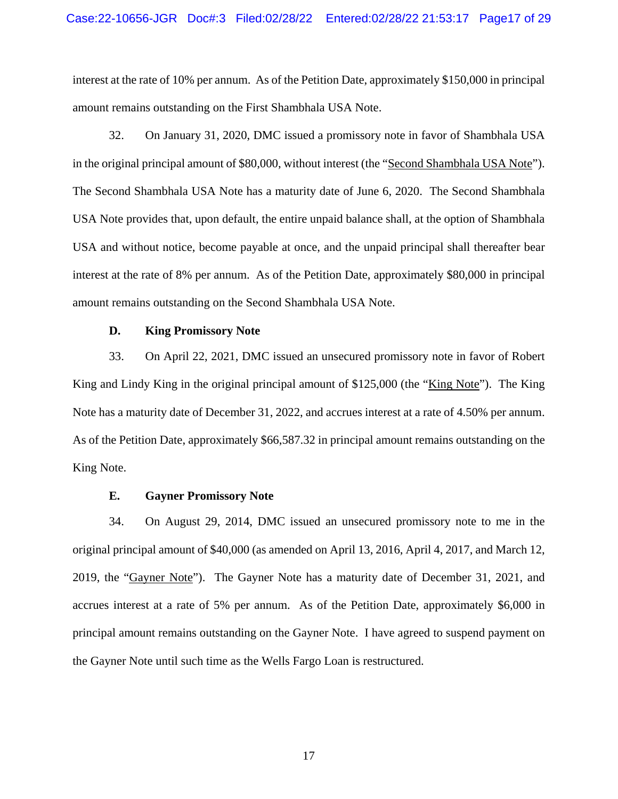interest at the rate of 10% per annum. As of the Petition Date, approximately \$150,000 in principal amount remains outstanding on the First Shambhala USA Note.

32. On January 31, 2020, DMC issued a promissory note in favor of Shambhala USA in the original principal amount of \$80,000, without interest (the "Second Shambhala USA Note"). The Second Shambhala USA Note has a maturity date of June 6, 2020. The Second Shambhala USA Note provides that, upon default, the entire unpaid balance shall, at the option of Shambhala USA and without notice, become payable at once, and the unpaid principal shall thereafter bear interest at the rate of 8% per annum. As of the Petition Date, approximately \$80,000 in principal amount remains outstanding on the Second Shambhala USA Note.

#### **D. King Promissory Note**

33. On April 22, 2021, DMC issued an unsecured promissory note in favor of Robert King and Lindy King in the original principal amount of \$125,000 (the "King Note"). The King Note has a maturity date of December 31, 2022, and accrues interest at a rate of 4.50% per annum. As of the Petition Date, approximately \$66,587.32 in principal amount remains outstanding on the King Note.

#### **E. Gayner Promissory Note**

34. On August 29, 2014, DMC issued an unsecured promissory note to me in the original principal amount of \$40,000 (as amended on April 13, 2016, April 4, 2017, and March 12, 2019, the "Gayner Note"). The Gayner Note has a maturity date of December 31, 2021, and accrues interest at a rate of 5% per annum. As of the Petition Date, approximately \$6,000 in principal amount remains outstanding on the Gayner Note. I have agreed to suspend payment on the Gayner Note until such time as the Wells Fargo Loan is restructured.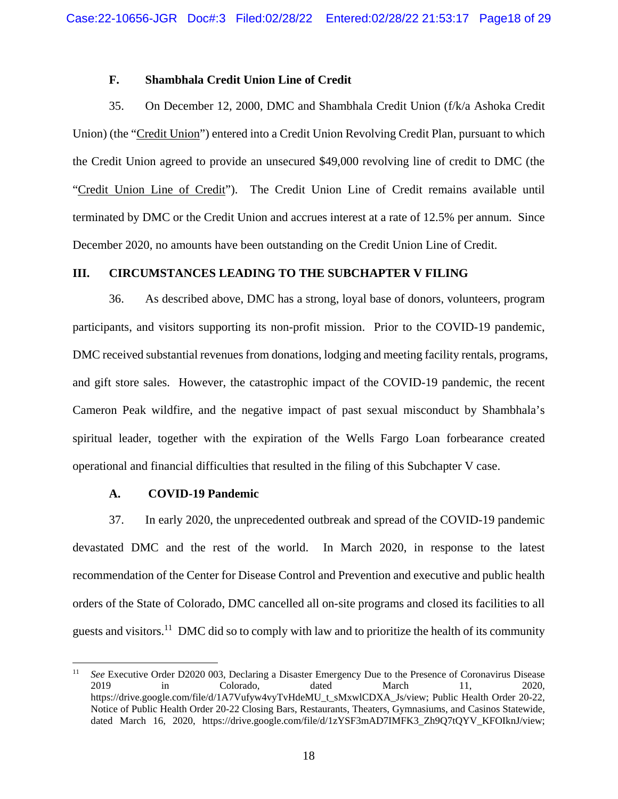#### **F. Shambhala Credit Union Line of Credit**

35. On December 12, 2000, DMC and Shambhala Credit Union (f/k/a Ashoka Credit Union) (the "Credit Union") entered into a Credit Union Revolving Credit Plan, pursuant to which the Credit Union agreed to provide an unsecured \$49,000 revolving line of credit to DMC (the "Credit Union Line of Credit"). The Credit Union Line of Credit remains available until terminated by DMC or the Credit Union and accrues interest at a rate of 12.5% per annum. Since December 2020, no amounts have been outstanding on the Credit Union Line of Credit.

#### **III. CIRCUMSTANCES LEADING TO THE SUBCHAPTER V FILING**

36. As described above, DMC has a strong, loyal base of donors, volunteers, program participants, and visitors supporting its non-profit mission. Prior to the COVID-19 pandemic, DMC received substantial revenues from donations, lodging and meeting facility rentals, programs, and gift store sales. However, the catastrophic impact of the COVID-19 pandemic, the recent Cameron Peak wildfire, and the negative impact of past sexual misconduct by Shambhala's spiritual leader, together with the expiration of the Wells Fargo Loan forbearance created operational and financial difficulties that resulted in the filing of this Subchapter V case.

#### **A. COVID-19 Pandemic**

 $\overline{a}$ 

37. In early 2020, the unprecedented outbreak and spread of the COVID-19 pandemic devastated DMC and the rest of the world. In March 2020, in response to the latest recommendation of the Center for Disease Control and Prevention and executive and public health orders of the State of Colorado, DMC cancelled all on-site programs and closed its facilities to all guests and visitors.11 DMC did so to comply with law and to prioritize the health of its community

<sup>11</sup> *See* Executive Order D2020 003, Declaring a Disaster Emergency Due to the Presence of Coronavirus Disease 2019 in Colorado, dated March 11, 2020, https://drive.google.com/file/d/1A7Vufyw4vyTvHdeMU\_t\_sMxwlCDXA\_Js/view; Public Health Order 20-22, Notice of Public Health Order 20-22 Closing Bars, Restaurants, Theaters, Gymnasiums, and Casinos Statewide, dated March 16, 2020, https://drive.google.com/file/d/1zYSF3mAD7IMFK3\_Zh9Q7tQYV\_KFOIknJ/view;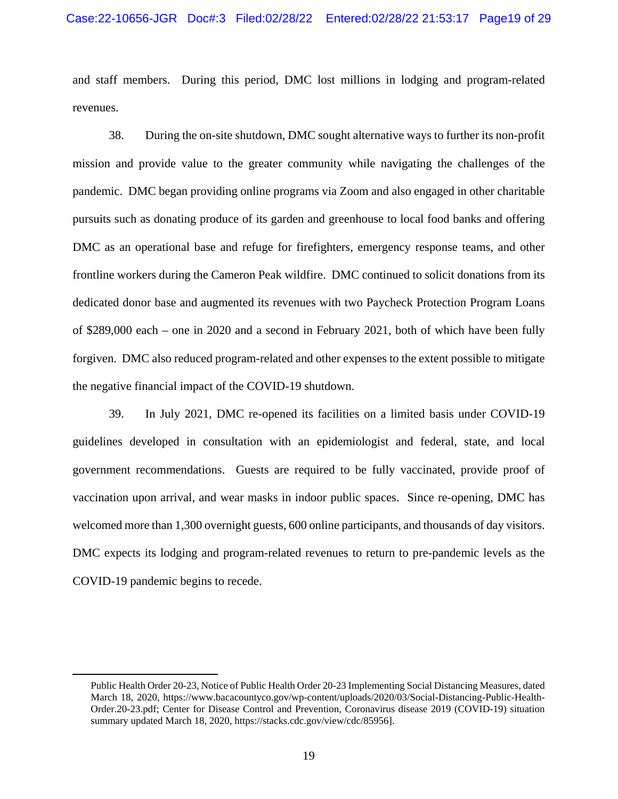and staff members. During this period, DMC lost millions in lodging and program-related revenues.

38. During the on-site shutdown, DMC sought alternative ways to further its non-profit mission and provide value to the greater community while navigating the challenges of the pandemic. DMC began providing online programs via Zoom and also engaged in other charitable pursuits such as donating produce of its garden and greenhouse to local food banks and offering DMC as an operational base and refuge for firefighters, emergency response teams, and other frontline workers during the Cameron Peak wildfire. DMC continued to solicit donations from its dedicated donor base and augmented its revenues with two Paycheck Protection Program Loans of \$289,000 each – one in 2020 and a second in February 2021, both of which have been fully forgiven. DMC also reduced program-related and other expenses to the extent possible to mitigate the negative financial impact of the COVID-19 shutdown.

39. In July 2021, DMC re-opened its facilities on a limited basis under COVID-19 guidelines developed in consultation with an epidemiologist and federal, state, and local government recommendations. Guests are required to be fully vaccinated, provide proof of vaccination upon arrival, and wear masks in indoor public spaces. Since re-opening, DMC has welcomed more than 1,300 overnight guests, 600 online participants, and thousands of day visitors. DMC expects its lodging and program-related revenues to return to pre-pandemic levels as the COVID-19 pandemic begins to recede.

Public Health Order 20-23, Notice of Public Health Order 20-23 Implementing Social Distancing Measures, dated March 18, 2020, https://www.bacacountyco.gov/wp-content/uploads/2020/03/Social-Distancing-Public-Health-Order.20-23.pdf; Center for Disease Control and Prevention, Coronavirus disease 2019 (COVID-19) situation summary updated March 18, 2020, https://stacks.cdc.gov/view/cdc/85956].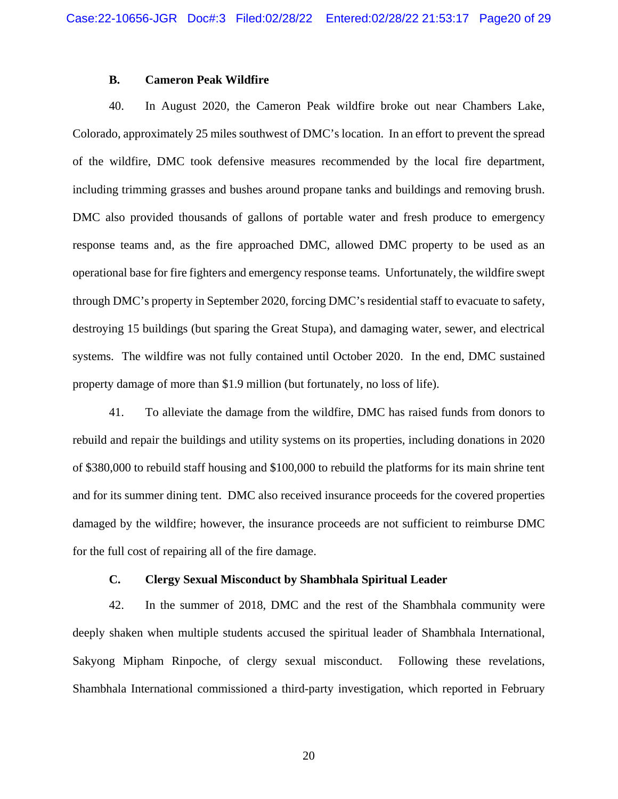#### **B. Cameron Peak Wildfire**

40. In August 2020, the Cameron Peak wildfire broke out near Chambers Lake, Colorado, approximately 25 miles southwest of DMC's location. In an effort to prevent the spread of the wildfire, DMC took defensive measures recommended by the local fire department, including trimming grasses and bushes around propane tanks and buildings and removing brush. DMC also provided thousands of gallons of portable water and fresh produce to emergency response teams and, as the fire approached DMC, allowed DMC property to be used as an operational base for fire fighters and emergency response teams. Unfortunately, the wildfire swept through DMC's property in September 2020, forcing DMC's residential staff to evacuate to safety, destroying 15 buildings (but sparing the Great Stupa), and damaging water, sewer, and electrical systems. The wildfire was not fully contained until October 2020. In the end, DMC sustained property damage of more than \$1.9 million (but fortunately, no loss of life).

41. To alleviate the damage from the wildfire, DMC has raised funds from donors to rebuild and repair the buildings and utility systems on its properties, including donations in 2020 of \$380,000 to rebuild staff housing and \$100,000 to rebuild the platforms for its main shrine tent and for its summer dining tent. DMC also received insurance proceeds for the covered properties damaged by the wildfire; however, the insurance proceeds are not sufficient to reimburse DMC for the full cost of repairing all of the fire damage.

## **C. Clergy Sexual Misconduct by Shambhala Spiritual Leader**

42. In the summer of 2018, DMC and the rest of the Shambhala community were deeply shaken when multiple students accused the spiritual leader of Shambhala International, Sakyong Mipham Rinpoche, of clergy sexual misconduct. Following these revelations, Shambhala International commissioned a third-party investigation, which reported in February

20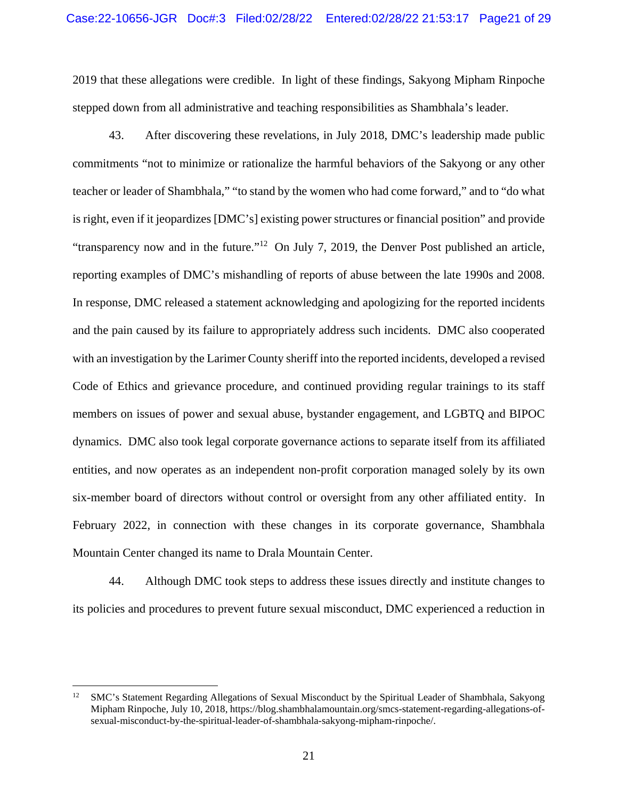2019 that these allegations were credible. In light of these findings, Sakyong Mipham Rinpoche stepped down from all administrative and teaching responsibilities as Shambhala's leader.

43. After discovering these revelations, in July 2018, DMC's leadership made public commitments "not to minimize or rationalize the harmful behaviors of the Sakyong or any other teacher or leader of Shambhala," "to stand by the women who had come forward," and to "do what is right, even if it jeopardizes [DMC's] existing power structures or financial position" and provide "transparency now and in the future."<sup>12</sup> On July 7, 2019, the Denver Post published an article, reporting examples of DMC's mishandling of reports of abuse between the late 1990s and 2008. In response, DMC released a statement acknowledging and apologizing for the reported incidents and the pain caused by its failure to appropriately address such incidents. DMC also cooperated with an investigation by the Larimer County sheriff into the reported incidents, developed a revised Code of Ethics and grievance procedure, and continued providing regular trainings to its staff members on issues of power and sexual abuse, bystander engagement, and LGBTQ and BIPOC dynamics. DMC also took legal corporate governance actions to separate itself from its affiliated entities, and now operates as an independent non-profit corporation managed solely by its own six-member board of directors without control or oversight from any other affiliated entity. In February 2022, in connection with these changes in its corporate governance, Shambhala Mountain Center changed its name to Drala Mountain Center.

44. Although DMC took steps to address these issues directly and institute changes to its policies and procedures to prevent future sexual misconduct, DMC experienced a reduction in

 $\overline{a}$ 

<sup>&</sup>lt;sup>12</sup> SMC's Statement Regarding Allegations of Sexual Misconduct by the Spiritual Leader of Shambhala, Sakyong Mipham Rinpoche, July 10, 2018, https://blog.shambhalamountain.org/smcs-statement-regarding-allegations-ofsexual-misconduct-by-the-spiritual-leader-of-shambhala-sakyong-mipham-rinpoche/.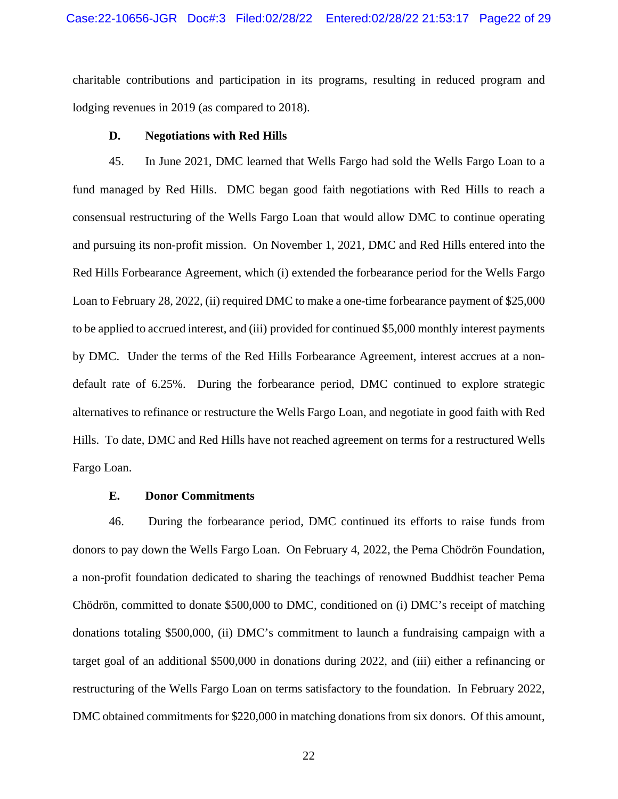charitable contributions and participation in its programs, resulting in reduced program and lodging revenues in 2019 (as compared to 2018).

#### **D. Negotiations with Red Hills**

45. In June 2021, DMC learned that Wells Fargo had sold the Wells Fargo Loan to a fund managed by Red Hills. DMC began good faith negotiations with Red Hills to reach a consensual restructuring of the Wells Fargo Loan that would allow DMC to continue operating and pursuing its non-profit mission. On November 1, 2021, DMC and Red Hills entered into the Red Hills Forbearance Agreement, which (i) extended the forbearance period for the Wells Fargo Loan to February 28, 2022, (ii) required DMC to make a one-time forbearance payment of \$25,000 to be applied to accrued interest, and (iii) provided for continued \$5,000 monthly interest payments by DMC. Under the terms of the Red Hills Forbearance Agreement, interest accrues at a nondefault rate of 6.25%. During the forbearance period, DMC continued to explore strategic alternatives to refinance or restructure the Wells Fargo Loan, and negotiate in good faith with Red Hills. To date, DMC and Red Hills have not reached agreement on terms for a restructured Wells Fargo Loan.

#### **E. Donor Commitments**

46. During the forbearance period, DMC continued its efforts to raise funds from donors to pay down the Wells Fargo Loan. On February 4, 2022, the Pema Chödrön Foundation, a non-profit foundation dedicated to sharing the teachings of renowned Buddhist teacher Pema Chödrön, committed to donate \$500,000 to DMC, conditioned on (i) DMC's receipt of matching donations totaling \$500,000, (ii) DMC's commitment to launch a fundraising campaign with a target goal of an additional \$500,000 in donations during 2022, and (iii) either a refinancing or restructuring of the Wells Fargo Loan on terms satisfactory to the foundation. In February 2022, DMC obtained commitments for \$220,000 in matching donations from six donors. Of this amount,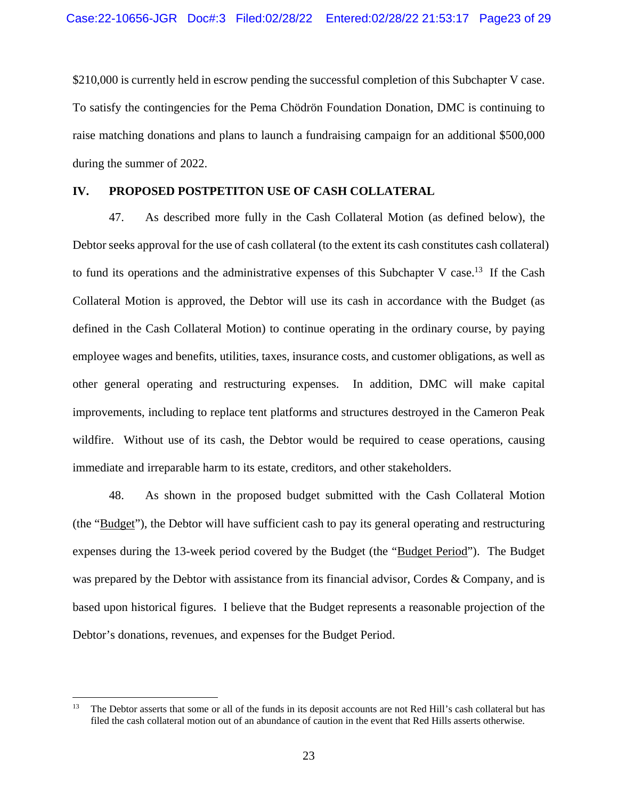\$210,000 is currently held in escrow pending the successful completion of this Subchapter V case. To satisfy the contingencies for the Pema Chödrön Foundation Donation, DMC is continuing to raise matching donations and plans to launch a fundraising campaign for an additional \$500,000 during the summer of 2022.

#### **IV. PROPOSED POSTPETITON USE OF CASH COLLATERAL**

47. As described more fully in the Cash Collateral Motion (as defined below), the Debtor seeks approval for the use of cash collateral (to the extent its cash constitutes cash collateral) to fund its operations and the administrative expenses of this Subchapter V case.<sup>13</sup> If the Cash Collateral Motion is approved, the Debtor will use its cash in accordance with the Budget (as defined in the Cash Collateral Motion) to continue operating in the ordinary course, by paying employee wages and benefits, utilities, taxes, insurance costs, and customer obligations, as well as other general operating and restructuring expenses. In addition, DMC will make capital improvements, including to replace tent platforms and structures destroyed in the Cameron Peak wildfire. Without use of its cash, the Debtor would be required to cease operations, causing immediate and irreparable harm to its estate, creditors, and other stakeholders.

48. As shown in the proposed budget submitted with the Cash Collateral Motion (the "Budget"), the Debtor will have sufficient cash to pay its general operating and restructuring expenses during the 13-week period covered by the Budget (the "Budget Period"). The Budget was prepared by the Debtor with assistance from its financial advisor, Cordes & Company, and is based upon historical figures. I believe that the Budget represents a reasonable projection of the Debtor's donations, revenues, and expenses for the Budget Period.

<sup>13</sup> 13 The Debtor asserts that some or all of the funds in its deposit accounts are not Red Hill's cash collateral but has filed the cash collateral motion out of an abundance of caution in the event that Red Hills asserts otherwise.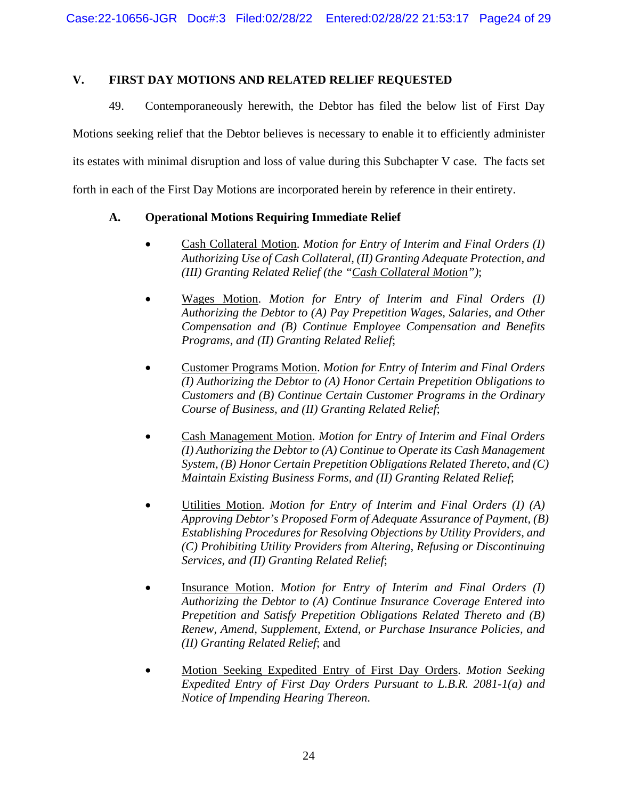## **V. FIRST DAY MOTIONS AND RELATED RELIEF REQUESTED**

49. Contemporaneously herewith, the Debtor has filed the below list of First Day Motions seeking relief that the Debtor believes is necessary to enable it to efficiently administer its estates with minimal disruption and loss of value during this Subchapter V case. The facts set forth in each of the First Day Motions are incorporated herein by reference in their entirety.

## **A. Operational Motions Requiring Immediate Relief**

- Cash Collateral Motion. *Motion for Entry of Interim and Final Orders (I) Authorizing Use of Cash Collateral, (II) Granting Adequate Protection, and (III) Granting Related Relief (the "Cash Collateral Motion")*;
- Wages Motion. *Motion for Entry of Interim and Final Orders (I) Authorizing the Debtor to (A) Pay Prepetition Wages, Salaries, and Other Compensation and (B) Continue Employee Compensation and Benefits Programs, and (II) Granting Related Relief*;
- Customer Programs Motion. *Motion for Entry of Interim and Final Orders (I) Authorizing the Debtor to (A) Honor Certain Prepetition Obligations to Customers and (B) Continue Certain Customer Programs in the Ordinary Course of Business, and (II) Granting Related Relief*;
- Cash Management Motion. *Motion for Entry of Interim and Final Orders (I) Authorizing the Debtor to (A) Continue to Operate its Cash Management System, (B) Honor Certain Prepetition Obligations Related Thereto, and (C) Maintain Existing Business Forms, and (II) Granting Related Relief*;
- Utilities Motion. *Motion for Entry of Interim and Final Orders (I) (A) Approving Debtor's Proposed Form of Adequate Assurance of Payment, (B) Establishing Procedures for Resolving Objections by Utility Providers, and (C) Prohibiting Utility Providers from Altering, Refusing or Discontinuing Services, and (II) Granting Related Relief*;
- Insurance Motion. *Motion for Entry of Interim and Final Orders (I) Authorizing the Debtor to (A) Continue Insurance Coverage Entered into Prepetition and Satisfy Prepetition Obligations Related Thereto and (B) Renew, Amend, Supplement, Extend, or Purchase Insurance Policies, and (II) Granting Related Relief*; and
- Motion Seeking Expedited Entry of First Day Orders. *Motion Seeking Expedited Entry of First Day Orders Pursuant to L.B.R. 2081-1(a) and Notice of Impending Hearing Thereon*.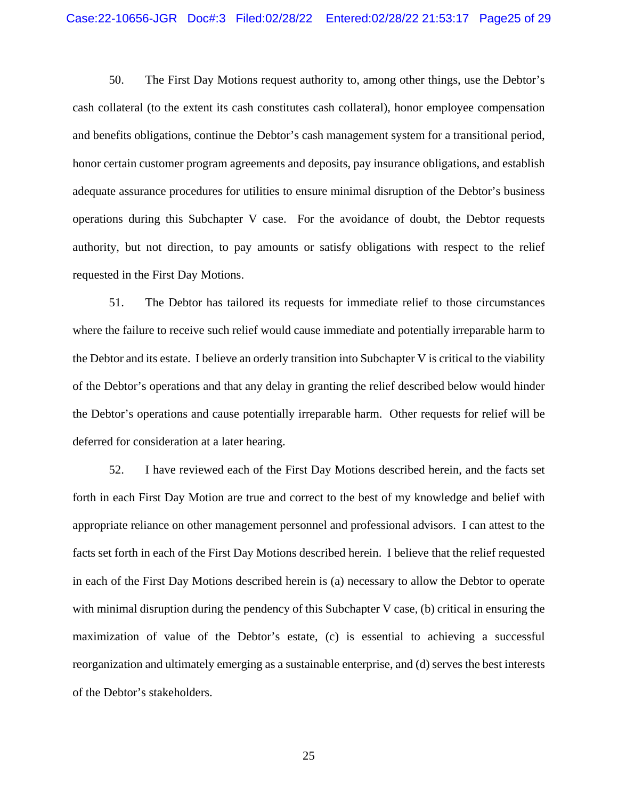50. The First Day Motions request authority to, among other things, use the Debtor's cash collateral (to the extent its cash constitutes cash collateral), honor employee compensation and benefits obligations, continue the Debtor's cash management system for a transitional period, honor certain customer program agreements and deposits, pay insurance obligations, and establish adequate assurance procedures for utilities to ensure minimal disruption of the Debtor's business operations during this Subchapter V case. For the avoidance of doubt, the Debtor requests authority, but not direction, to pay amounts or satisfy obligations with respect to the relief requested in the First Day Motions.

51. The Debtor has tailored its requests for immediate relief to those circumstances where the failure to receive such relief would cause immediate and potentially irreparable harm to the Debtor and its estate. I believe an orderly transition into Subchapter V is critical to the viability of the Debtor's operations and that any delay in granting the relief described below would hinder the Debtor's operations and cause potentially irreparable harm. Other requests for relief will be deferred for consideration at a later hearing.

52. I have reviewed each of the First Day Motions described herein, and the facts set forth in each First Day Motion are true and correct to the best of my knowledge and belief with appropriate reliance on other management personnel and professional advisors. I can attest to the facts set forth in each of the First Day Motions described herein. I believe that the relief requested in each of the First Day Motions described herein is (a) necessary to allow the Debtor to operate with minimal disruption during the pendency of this Subchapter V case, (b) critical in ensuring the maximization of value of the Debtor's estate, (c) is essential to achieving a successful reorganization and ultimately emerging as a sustainable enterprise, and (d) serves the best interests of the Debtor's stakeholders.

25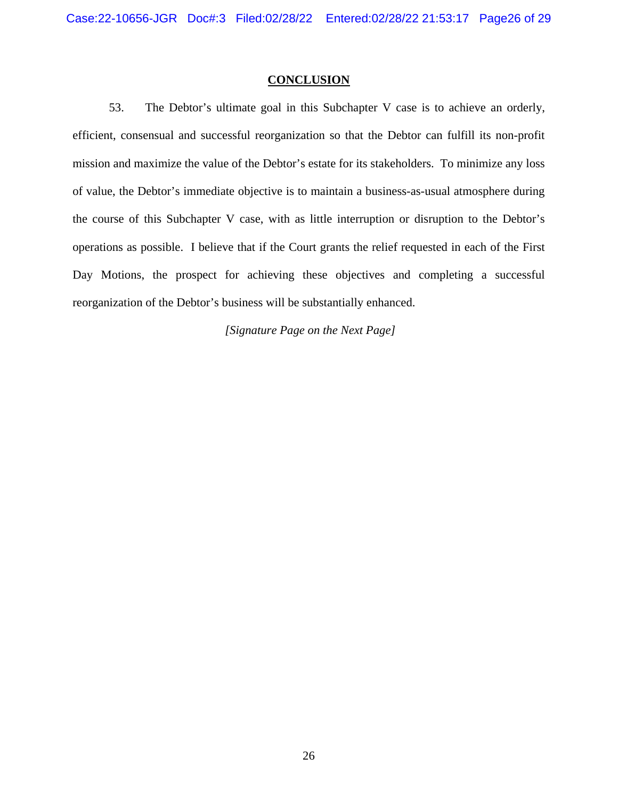#### **CONCLUSION**

53. The Debtor's ultimate goal in this Subchapter V case is to achieve an orderly, efficient, consensual and successful reorganization so that the Debtor can fulfill its non-profit mission and maximize the value of the Debtor's estate for its stakeholders. To minimize any loss of value, the Debtor's immediate objective is to maintain a business-as-usual atmosphere during the course of this Subchapter V case, with as little interruption or disruption to the Debtor's operations as possible. I believe that if the Court grants the relief requested in each of the First Day Motions, the prospect for achieving these objectives and completing a successful reorganization of the Debtor's business will be substantially enhanced.

 *[Signature Page on the Next Page]*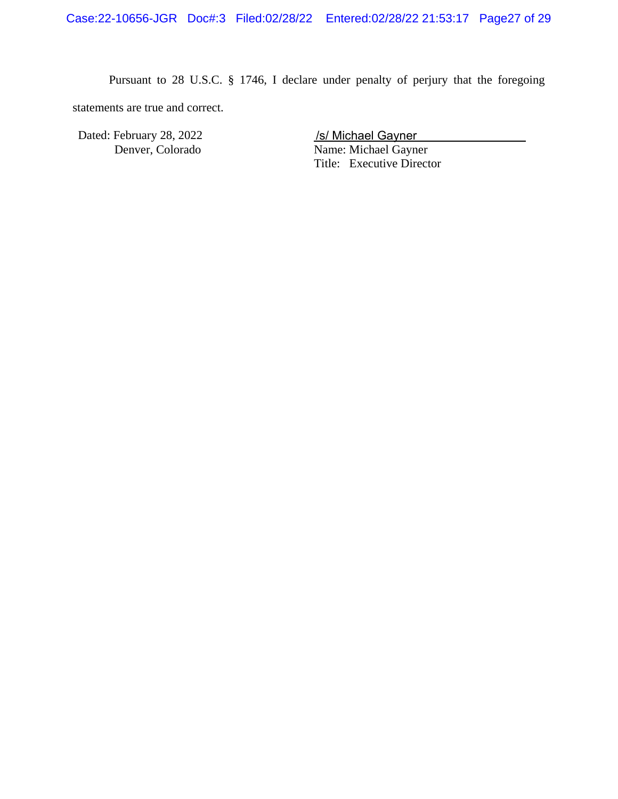Pursuant to 28 U.S.C. § 1746, I declare under penalty of perjury that the foregoing statements are true and correct.

Dated: February 28, 2022

Name: Michael Gayner Title: Executive Director /s/ Michael Gayner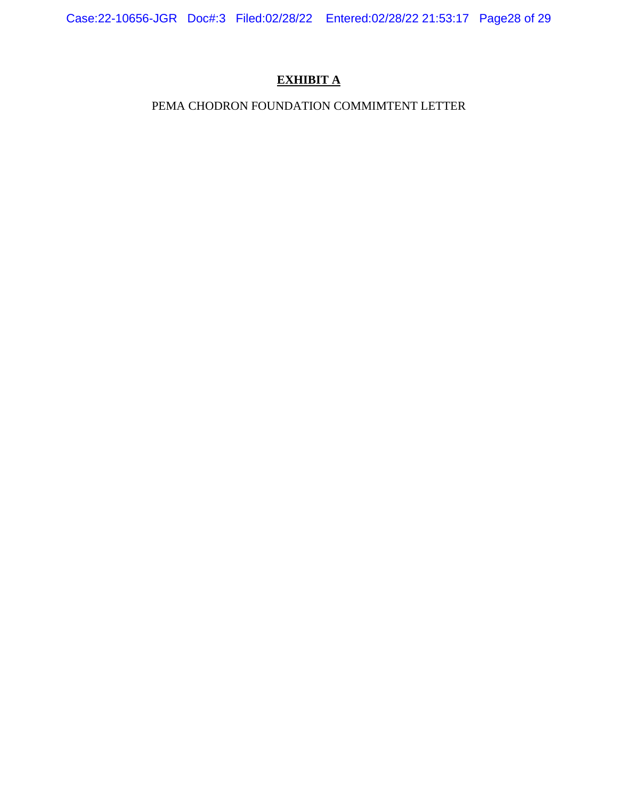Case:22-10656-JGR Doc#:3 Filed:02/28/22 Entered:02/28/22 21:53:17 Page28 of 29

# **EXHIBIT A**

# PEMA CHODRON FOUNDATION COMMIMTENT LETTER